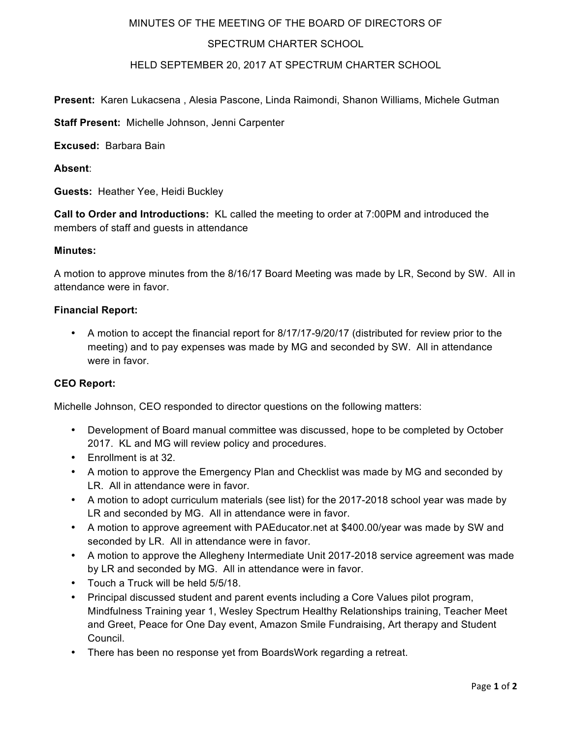# MINUTES OF THE MEETING OF THE BOARD OF DIRECTORS OF

# SPECTRUM CHARTER SCHOOL

### HELD SEPTEMBER 20, 2017 AT SPECTRUM CHARTER SCHOOL

**Present:** Karen Lukacsena , Alesia Pascone, Linda Raimondi, Shanon Williams, Michele Gutman

**Staff Present:** Michelle Johnson, Jenni Carpenter

**Excused:** Barbara Bain

**Absent**:

**Guests:** Heather Yee, Heidi Buckley

**Call to Order and Introductions:** KL called the meeting to order at 7:00PM and introduced the members of staff and guests in attendance

### **Minutes:**

A motion to approve minutes from the 8/16/17 Board Meeting was made by LR, Second by SW. All in attendance were in favor.

### **Financial Report:**

• A motion to accept the financial report for 8/17/17-9/20/17 (distributed for review prior to the meeting) and to pay expenses was made by MG and seconded by SW. All in attendance were in favor.

#### **CEO Report:**

Michelle Johnson, CEO responded to director questions on the following matters:

- Development of Board manual committee was discussed, hope to be completed by October 2017. KL and MG will review policy and procedures.
- Enrollment is at 32.
- A motion to approve the Emergency Plan and Checklist was made by MG and seconded by LR. All in attendance were in favor.
- A motion to adopt curriculum materials (see list) for the 2017-2018 school year was made by LR and seconded by MG. All in attendance were in favor.
- A motion to approve agreement with PAEducator.net at \$400.00/year was made by SW and seconded by LR. All in attendance were in favor.
- A motion to approve the Allegheny Intermediate Unit 2017-2018 service agreement was made by LR and seconded by MG. All in attendance were in favor.
- Touch a Truck will be held 5/5/18.
- Principal discussed student and parent events including a Core Values pilot program, Mindfulness Training year 1, Wesley Spectrum Healthy Relationships training, Teacher Meet and Greet, Peace for One Day event, Amazon Smile Fundraising, Art therapy and Student Council.
- There has been no response yet from BoardsWork regarding a retreat.